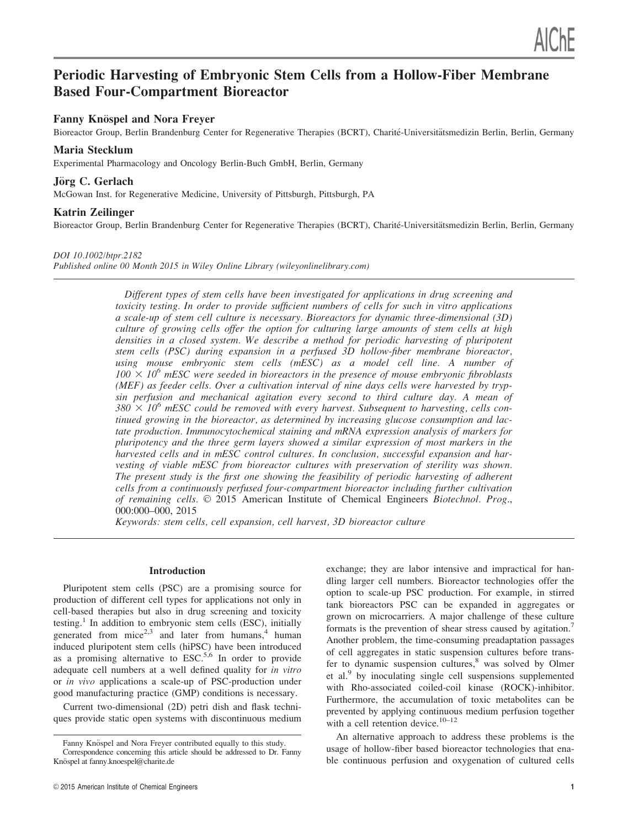# Periodic Harvesting of Embryonic Stem Cells from a Hollow-Fiber Membrane Based Four-Compartment Bioreactor

## Fanny Knöspel and Nora Freyer

Bioreactor Group, Berlin Brandenburg Center for Regenerative Therapies (BCRT), Charité-Universitätsmedizin Berlin, Berlin, Germany

## Maria Stecklum

Experimental Pharmacology and Oncology Berlin-Buch GmbH, Berlin, Germany

## Jörg C. Gerlach

McGowan Inst. for Regenerative Medicine, University of Pittsburgh, Pittsburgh, PA

## Katrin Zeilinger

Bioreactor Group, Berlin Brandenburg Center for Regenerative Therapies (BCRT), Charité-Universitätsmedizin Berlin, Berlin, Germany

#### DOI 10.1002/btpr.2182

Published online 00 Month 2015 in Wiley Online Library (wileyonlinelibrary.com)

Different types of stem cells have been investigated for applications in drug screening and toxicity testing. In order to provide sufficient numbers of cells for such in vitro applications a scale-up of stem cell culture is necessary. Bioreactors for dynamic three-dimensional (3D) culture of growing cells offer the option for culturing large amounts of stem cells at high densities in a closed system. We describe a method for periodic harvesting of pluripotent stem cells (PSC) during expansion in a perfused 3D hollow-fiber membrane bioreactor, using mouse embryonic stem cells (mESC) as a model cell line. A number of  $100 \times 10^6$  mESC were seeded in bioreactors in the presence of mouse embryonic fibroblasts (MEF) as feeder cells. Over a cultivation interval of nine days cells were harvested by trypsin perfusion and mechanical agitation every second to third culture day. A mean of  $380 \times 10^6$  mESC could be removed with every harvest. Subsequent to harvesting, cells continued growing in the bioreactor, as determined by increasing glucose consumption and lactate production. Immunocytochemical staining and mRNA expression analysis of markers for pluripotency and the three germ layers showed a similar expression of most markers in the harvested cells and in mESC control cultures. In conclusion, successful expansion and harvesting of viable mESC from bioreactor cultures with preservation of sterility was shown. The present study is the first one showing the feasibility of periodic harvesting of adherent cells from a continuously perfused four-compartment bioreactor including further cultivation of remaining cells.  $\odot$  2015 American Institute of Chemical Engineers Biotechnol. Prog., 000:000–000, 2015

Keywords: stem cells, cell expansion, cell harvest, 3D bioreactor culture

#### Introduction

Pluripotent stem cells (PSC) are a promising source for production of different cell types for applications not only in cell-based therapies but also in drug screening and toxicity testing.<sup>1</sup> In addition to embryonic stem cells (ESC), initially generated from  $mice^{2,3}$  and later from humans, <sup>4</sup> human induced pluripotent stem cells (hiPSC) have been introduced as a promising alternative to  $\text{ESC}^{5,6}$  In order to provide adequate cell numbers at a well defined quality for in vitro or in vivo applications a scale-up of PSC-production under good manufacturing practice (GMP) conditions is necessary.

Current two-dimensional (2D) petri dish and flask techniques provide static open systems with discontinuous medium exchange; they are labor intensive and impractical for handling larger cell numbers. Bioreactor technologies offer the option to scale-up PSC production. For example, in stirred tank bioreactors PSC can be expanded in aggregates or grown on microcarriers. A major challenge of these culture formats is the prevention of shear stress caused by agitation.<sup>7</sup> Another problem, the time-consuming preadaptation passages of cell aggregates in static suspension cultures before transfer to dynamic suspension cultures,<sup>8</sup> was solved by Olmer et al.<sup>9</sup> by inoculating single cell suspensions supplemented with Rho-associated coiled-coil kinase (ROCK)-inhibitor. Furthermore, the accumulation of toxic metabolites can be prevented by applying continuous medium perfusion together with a cell retention device. $10-12$ 

An alternative approach to address these problems is the usage of hollow-fiber based bioreactor technologies that enable continuous perfusion and oxygenation of cultured cells

Fanny Knöspel and Nora Frever contributed equally to this study. Correspondence concerning this article should be addressed to Dr. Fanny Knöspel at fanny.knoespel@charite.de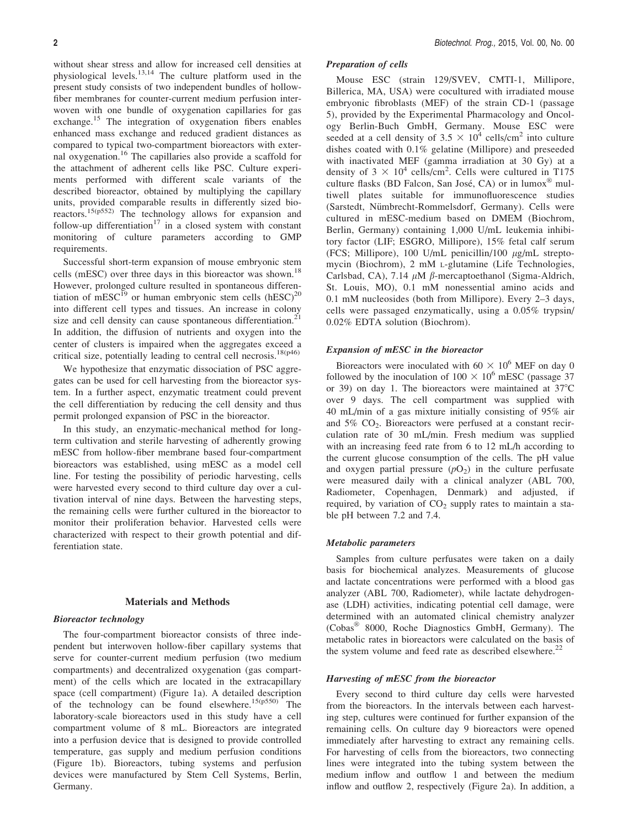without shear stress and allow for increased cell densities at physiological levels.13,14 The culture platform used in the present study consists of two independent bundles of hollowfiber membranes for counter-current medium perfusion interwoven with one bundle of oxygenation capillaries for gas exchange.<sup>15</sup> The integration of oxygenation fibers enables enhanced mass exchange and reduced gradient distances as compared to typical two-compartment bioreactors with external oxygenation.<sup>16</sup> The capillaries also provide a scaffold for the attachment of adherent cells like PSC. Culture experiments performed with different scale variants of the described bioreactor, obtained by multiplying the capillary units, provided comparable results in differently sized bioreactors.15(p552) The technology allows for expansion and follow-up differentiation<sup>17</sup> in a closed system with constant monitoring of culture parameters according to GMP requirements.

Successful short-term expansion of mouse embryonic stem cells (mESC) over three days in this bioreactor was shown.<sup>18</sup> However, prolonged culture resulted in spontaneous differentiation of mESC<sup>19</sup> or human embryonic stem cells  $(hESC)^{20}$ into different cell types and tissues. An increase in colony size and cell density can cause spontaneous differentiation.<sup>2</sup> In addition, the diffusion of nutrients and oxygen into the center of clusters is impaired when the aggregates exceed a critical size, potentially leading to central cell necrosis.<sup>18(p46)</sup>

We hypothesize that enzymatic dissociation of PSC aggregates can be used for cell harvesting from the bioreactor system. In a further aspect, enzymatic treatment could prevent the cell differentiation by reducing the cell density and thus permit prolonged expansion of PSC in the bioreactor.

In this study, an enzymatic-mechanical method for longterm cultivation and sterile harvesting of adherently growing mESC from hollow-fiber membrane based four-compartment bioreactors was established, using mESC as a model cell line. For testing the possibility of periodic harvesting, cells were harvested every second to third culture day over a cultivation interval of nine days. Between the harvesting steps, the remaining cells were further cultured in the bioreactor to monitor their proliferation behavior. Harvested cells were characterized with respect to their growth potential and differentiation state.

#### Materials and Methods

#### Bioreactor technology

The four-compartment bioreactor consists of three independent but interwoven hollow-fiber capillary systems that serve for counter-current medium perfusion (two medium compartments) and decentralized oxygenation (gas compartment) of the cells which are located in the extracapillary space (cell compartment) (Figure 1a). A detailed description of the technology can be found elsewhere.<sup>15(p550)</sup> The laboratory-scale bioreactors used in this study have a cell compartment volume of 8 mL. Bioreactors are integrated into a perfusion device that is designed to provide controlled temperature, gas supply and medium perfusion conditions (Figure 1b). Bioreactors, tubing systems and perfusion devices were manufactured by Stem Cell Systems, Berlin, Germany.

#### Preparation of cells

Mouse ESC (strain 129/SVEV, CMTI-1, Millipore, Billerica, MA, USA) were cocultured with irradiated mouse embryonic fibroblasts (MEF) of the strain CD-1 (passage 5), provided by the Experimental Pharmacology and Oncology Berlin-Buch GmbH, Germany. Mouse ESC were seeded at a cell density of  $3.5 \times 10^4$  cells/cm<sup>2</sup> into culture dishes coated with 0.1% gelatine (Millipore) and preseeded with inactivated MEF (gamma irradiation at 30 Gy) at a density of  $3 \times 10^4$  cells/cm<sup>2</sup>. Cells were cultured in T175 culture flasks (BD Falcon, San José, CA) or in lumox<sup>®</sup> multiwell plates suitable for immunofluorescence studies (Sarstedt, Nümbrecht-Rommelsdorf, Germany). Cells were cultured in mESC-medium based on DMEM (Biochrom, Berlin, Germany) containing 1,000 U/mL leukemia inhibitory factor (LIF; ESGRO, Millipore), 15% fetal calf serum (FCS; Millipore), 100 U/mL penicillin/100  $\mu$ g/mL streptomycin (Biochrom), 2 mM L-glutamine (Life Technologies, Carlsbad, CA), 7.14  $\mu$ M  $\beta$ -mercaptoethanol (Sigma-Aldrich, St. Louis, MO), 0.1 mM nonessential amino acids and 0.1 mM nucleosides (both from Millipore). Every 2–3 days, cells were passaged enzymatically, using a 0.05% trypsin/ 0.02% EDTA solution (Biochrom).

#### Expansion of mESC in the bioreactor

Bioreactors were inoculated with 60  $\times$  10<sup>6</sup> MEF on day 0 followed by the inoculation of  $100 \times 10^6$  mESC (passage 37 or 39) on day 1. The bioreactors were maintained at  $37^{\circ}$ C over 9 days. The cell compartment was supplied with 40 mL/min of a gas mixture initially consisting of 95% air and  $5\%$  CO<sub>2</sub>. Bioreactors were perfused at a constant recirculation rate of 30 mL/min. Fresh medium was supplied with an increasing feed rate from 6 to 12 mL/h according to the current glucose consumption of the cells. The pH value and oxygen partial pressure  $(pO<sub>2</sub>)$  in the culture perfusate were measured daily with a clinical analyzer (ABL 700, Radiometer, Copenhagen, Denmark) and adjusted, if required, by variation of  $CO<sub>2</sub>$  supply rates to maintain a stable pH between 7.2 and 7.4.

#### Metabolic parameters

Samples from culture perfusates were taken on a daily basis for biochemical analyzes. Measurements of glucose and lactate concentrations were performed with a blood gas analyzer (ABL 700, Radiometer), while lactate dehydrogenase (LDH) activities, indicating potential cell damage, were determined with an automated clinical chemistry analyzer (Cobas<sup>®</sup> 8000, Roche Diagnostics GmbH, Germany). The metabolic rates in bioreactors were calculated on the basis of the system volume and feed rate as described elsewhere. $^{22}$ 

#### Harvesting of mESC from the bioreactor

Every second to third culture day cells were harvested from the bioreactors. In the intervals between each harvesting step, cultures were continued for further expansion of the remaining cells. On culture day 9 bioreactors were opened immediately after harvesting to extract any remaining cells. For harvesting of cells from the bioreactors, two connecting lines were integrated into the tubing system between the medium inflow and outflow 1 and between the medium inflow and outflow 2, respectively (Figure 2a). In addition, a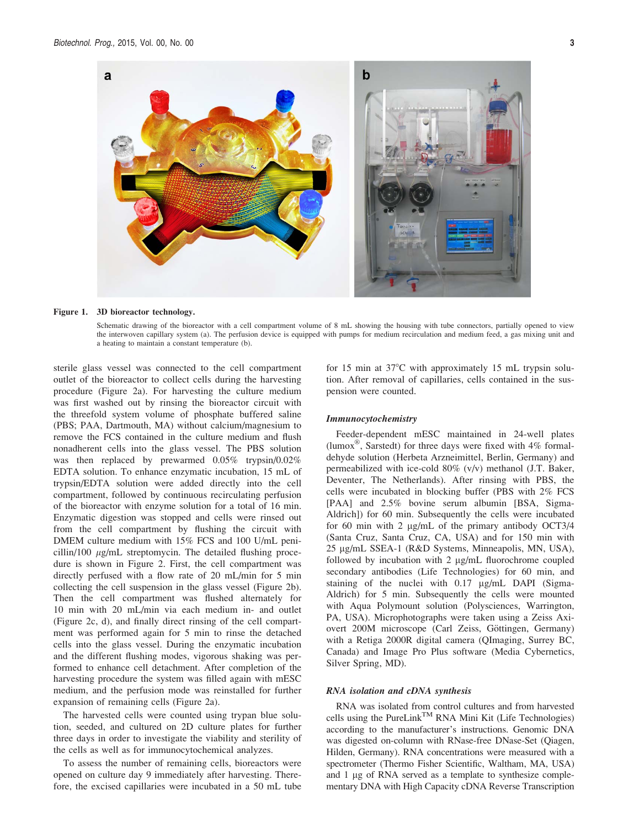

#### Figure 1. 3D bioreactor technology.

Schematic drawing of the bioreactor with a cell compartment volume of 8 mL showing the housing with tube connectors, partially opened to view the interwoven capillary system (a). The perfusion device is equipped with pumps for medium recirculation and medium feed, a gas mixing unit and a heating to maintain a constant temperature (b).

sterile glass vessel was connected to the cell compartment outlet of the bioreactor to collect cells during the harvesting procedure (Figure 2a). For harvesting the culture medium was first washed out by rinsing the bioreactor circuit with the threefold system volume of phosphate buffered saline (PBS; PAA, Dartmouth, MA) without calcium/magnesium to remove the FCS contained in the culture medium and flush nonadherent cells into the glass vessel. The PBS solution was then replaced by prewarmed 0.05% trypsin/0.02% EDTA solution. To enhance enzymatic incubation, 15 mL of trypsin/EDTA solution were added directly into the cell compartment, followed by continuous recirculating perfusion of the bioreactor with enzyme solution for a total of 16 min. Enzymatic digestion was stopped and cells were rinsed out from the cell compartment by flushing the circuit with DMEM culture medium with 15% FCS and 100 U/mL penicillin/100  $\mu$ g/mL streptomycin. The detailed flushing procedure is shown in Figure 2. First, the cell compartment was directly perfused with a flow rate of 20 mL/min for 5 min collecting the cell suspension in the glass vessel (Figure 2b). Then the cell compartment was flushed alternately for 10 min with 20 mL/min via each medium in- and outlet (Figure 2c, d), and finally direct rinsing of the cell compartment was performed again for 5 min to rinse the detached cells into the glass vessel. During the enzymatic incubation and the different flushing modes, vigorous shaking was performed to enhance cell detachment. After completion of the harvesting procedure the system was filled again with mESC medium, and the perfusion mode was reinstalled for further expansion of remaining cells (Figure 2a).

The harvested cells were counted using trypan blue solution, seeded, and cultured on 2D culture plates for further three days in order to investigate the viability and sterility of the cells as well as for immunocytochemical analyzes.

To assess the number of remaining cells, bioreactors were opened on culture day 9 immediately after harvesting. Therefore, the excised capillaries were incubated in a 50 mL tube for 15 min at  $37^{\circ}$ C with approximately 15 mL trypsin solution. After removal of capillaries, cells contained in the suspension were counted.

#### Immunocytochemistry

Feeder-dependent mESC maintained in 24-well plates (lumox<sup>®</sup>, Sarstedt) for three days were fixed with 4% formaldehyde solution (Herbeta Arzneimittel, Berlin, Germany) and permeabilized with ice-cold  $80\%$  (v/v) methanol (J.T. Baker, Deventer, The Netherlands). After rinsing with PBS, the cells were incubated in blocking buffer (PBS with 2% FCS [PAA] and 2.5% bovine serum albumin [BSA, Sigma-Aldrich]) for 60 min. Subsequently the cells were incubated for 60 min with 2  $\mu$ g/mL of the primary antibody OCT3/4 (Santa Cruz, Santa Cruz, CA, USA) and for 150 min with 25 µg/mL SSEA-1 (R&D Systems, Minneapolis, MN, USA), followed by incubation with  $2 \mu g/mL$  fluorochrome coupled secondary antibodies (Life Technologies) for 60 min, and staining of the nuclei with 0.17 µg/mL DAPI (Sigma-Aldrich) for 5 min. Subsequently the cells were mounted with Aqua Polymount solution (Polysciences, Warrington, PA, USA). Microphotographs were taken using a Zeiss Axiovert 200M microscope (Carl Zeiss, Göttingen, Germany) with a Retiga 2000R digital camera (QImaging, Surrey BC, Canada) and Image Pro Plus software (Media Cybernetics, Silver Spring, MD).

#### RNA isolation and cDNA synthesis

RNA was isolated from control cultures and from harvested cells using the PureLink<sup>TM</sup> RNA Mini Kit (Life Technologies) according to the manufacturer's instructions. Genomic DNA was digested on-column with RNase-free DNase-Set (Qiagen, Hilden, Germany). RNA concentrations were measured with a spectrometer (Thermo Fisher Scientific, Waltham, MA, USA) and 1 µg of RNA served as a template to synthesize complementary DNA with High Capacity cDNA Reverse Transcription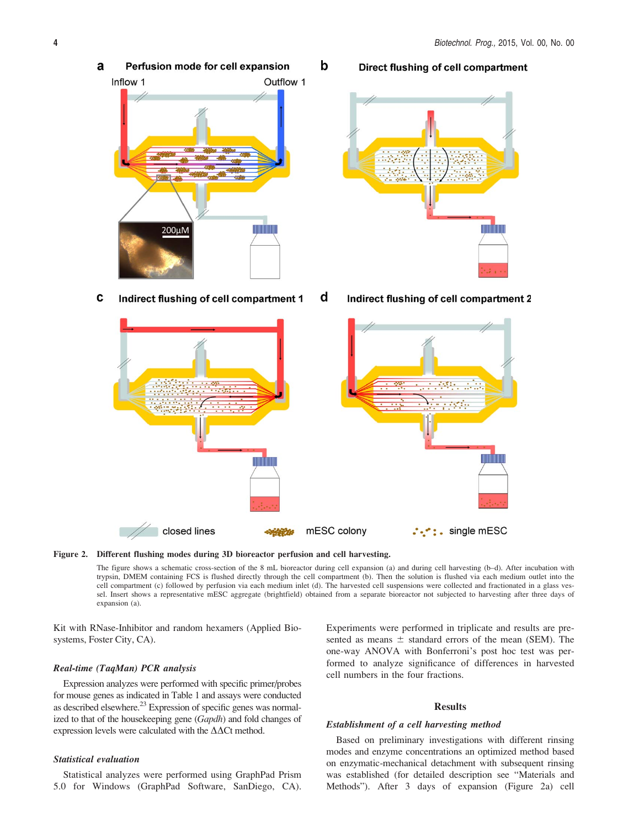- a Perfusion mode for cell expansion Inflow 1 Outflow 1 200µM
- C Indirect flushing of cell compartment 1
	- closed lines
- -

Direct flushing of cell compartment

d Indirect flushing of cell compartment 2





The figure shows a schematic cross-section of the 8 mL bioreactor during cell expansion (a) and during cell harvesting (b–d). After incubation with trypsin, DMEM containing FCS is flushed directly through the cell compartment (b). Then the solution is flushed via each medium outlet into the cell compartment (c) followed by perfusion via each medium inlet (d). The harvested cell suspensions were collected and fractionated in a glass vessel. Insert shows a representative mESC aggregate (brightfield) obtained from a separate bioreactor not subjected to harvesting after three days of expansion (a).

b

Kit with RNase-Inhibitor and random hexamers (Applied Biosystems, Foster City, CA).

#### Real-time (TaqMan) PCR analysis

Expression analyzes were performed with specific primer/probes for mouse genes as indicated in Table 1 and assays were conducted as described elsewhere.<sup>23</sup> Expression of specific genes was normalized to that of the housekeeping gene (Gapdh) and fold changes of expression levels were calculated with the  $\Delta\Delta$ Ct method.

### Statistical evaluation

Statistical analyzes were performed using GraphPad Prism 5.0 for Windows (GraphPad Software, SanDiego, CA).

Experiments were performed in triplicate and results are presented as means  $\pm$  standard errors of the mean (SEM). The one-way ANOVA with Bonferroni's post hoc test was performed to analyze significance of differences in harvested cell numbers in the four fractions.

#### Results

#### Establishment of a cell harvesting method

Based on preliminary investigations with different rinsing modes and enzyme concentrations an optimized method based on enzymatic-mechanical detachment with subsequent rinsing was established (for detailed description see "Materials and Methods"). After 3 days of expansion (Figure 2a) cell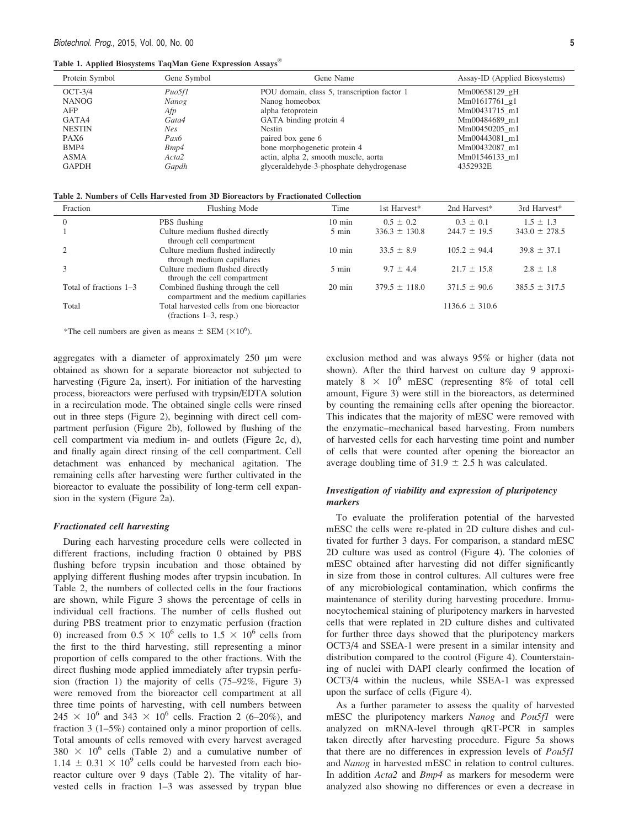| Protein Symbol   | Gene Symbol       | Gene Name                                   | Assay-ID (Applied Biosystems) |  |
|------------------|-------------------|---------------------------------------------|-------------------------------|--|
| $OCT-3/4$        | Puo5f1            | POU domain, class 5, transcription factor 1 | Mm00658129_gH                 |  |
| <b>NANOG</b>     | Nanog             | Nanog homeobox                              | Mm01617761 g1                 |  |
| AFP              | Afp               | alpha fetoprotein                           | Mm00431715 m1                 |  |
| GATA4            | Gata4             | GATA binding protein 4                      | Mm00484689 m1                 |  |
| <b>NESTIN</b>    | Nes.              | <b>Nestin</b>                               | Mm00450205 m1                 |  |
| PAX <sub>6</sub> | Pax <sub>6</sub>  | paired box gene 6                           | Mm00443081 m1                 |  |
| BMP4             | Bmp4              | bone morphogenetic protein 4                | Mm00432087 m1                 |  |
| <b>ASMA</b>      | Acta <sub>2</sub> | actin, alpha 2, smooth muscle, aorta        | Mm01546133 m1                 |  |
| <b>GAPDH</b>     | Gapdh             | glyceraldehyde-3-phosphate dehydrogenase    | 4352932E                      |  |

|  |  |  |  |  |  |  |  | Table 2. Numbers of Cells Harvested from 3D Bioreactors by Fractionated Collection |  |
|--|--|--|--|--|--|--|--|------------------------------------------------------------------------------------|--|
|--|--|--|--|--|--|--|--|------------------------------------------------------------------------------------|--|

| Fraction               | Flushing Mode                                                                | Time             | 1st Harvest*      | 2nd Harvest*       | 3rd Harvest*      |
|------------------------|------------------------------------------------------------------------------|------------------|-------------------|--------------------|-------------------|
| $\Omega$               | PBS flushing                                                                 | $10 \text{ min}$ | $0.5 \pm 0.2$     | $0.3 \pm 0.1$      | $1.5 \pm 1.3$     |
|                        | Culture medium flushed directly<br>through cell compartment                  | $5 \text{ min}$  | $336.3 \pm 130.8$ | $244.7 \pm 19.5$   | $343.0 \pm 278.5$ |
|                        | Culture medium flushed indirectly<br>through medium capillaries              | $10 \text{ min}$ | $33.5 \pm 8.9$    | $105.2 \pm 94.4$   | $39.8 \pm 37.1$   |
|                        | Culture medium flushed directly<br>through the cell compartment              | $5 \text{ min}$  | $9.7 \pm 4.4$     | $21.7 \pm 15.8$    | $2.8 \pm 1.8$     |
| Total of fractions 1–3 | Combined flushing through the cell<br>compartment and the medium capillaries | $20 \text{ min}$ | $379.5 \pm 118.0$ | $371.5 \pm 90.6$   | $385.5 \pm 317.5$ |
| Total                  | Total harvested cells from one bioreactor<br>$(fractions 1-3, resp.)$        |                  |                   | $1136.6 \pm 310.6$ |                   |

\*The cell numbers are given as means  $\pm$  SEM ( $\times 10^6$ ).

aggregates with a diameter of approximately  $250 \mu m$  were obtained as shown for a separate bioreactor not subjected to harvesting (Figure 2a, insert). For initiation of the harvesting process, bioreactors were perfused with trypsin/EDTA solution in a recirculation mode. The obtained single cells were rinsed out in three steps (Figure 2), beginning with direct cell compartment perfusion (Figure 2b), followed by flushing of the cell compartment via medium in- and outlets (Figure 2c, d), and finally again direct rinsing of the cell compartment. Cell detachment was enhanced by mechanical agitation. The remaining cells after harvesting were further cultivated in the bioreactor to evaluate the possibility of long-term cell expansion in the system (Figure 2a).

#### Fractionated cell harvesting

During each harvesting procedure cells were collected in different fractions, including fraction 0 obtained by PBS flushing before trypsin incubation and those obtained by applying different flushing modes after trypsin incubation. In Table 2, the numbers of collected cells in the four fractions are shown, while Figure 3 shows the percentage of cells in individual cell fractions. The number of cells flushed out during PBS treatment prior to enzymatic perfusion (fraction 0) increased from  $0.5 \times 10^6$  cells to  $1.5 \times 10^6$  cells from the first to the third harvesting, still representing a minor proportion of cells compared to the other fractions. With the direct flushing mode applied immediately after trypsin perfusion (fraction 1) the majority of cells (75–92%, Figure 3) were removed from the bioreactor cell compartment at all three time points of harvesting, with cell numbers between  $245 \times 10^{6}$  and  $343 \times 10^{6}$  cells. Fraction 2 (6–20%), and fraction 3 (1–5%) contained only a minor proportion of cells. Total amounts of cells removed with every harvest averaged  $380 \times 10^6$  cells (Table 2) and a cumulative number of  $1.14 \pm 0.31 \times 10^9$  cells could be harvested from each bioreactor culture over 9 days (Table 2). The vitality of harvested cells in fraction 1–3 was assessed by trypan blue

exclusion method and was always 95% or higher (data not shown). After the third harvest on culture day 9 approximately  $8 \times 10^6$  mESC (representing 8% of total cell amount, Figure 3) were still in the bioreactors, as determined by counting the remaining cells after opening the bioreactor. This indicates that the majority of mESC were removed with the enzymatic–mechanical based harvesting. From numbers of harvested cells for each harvesting time point and number of cells that were counted after opening the bioreactor an average doubling time of  $31.9 \pm 2.5$  h was calculated.

#### Investigation of viability and expression of pluripotency markers

To evaluate the proliferation potential of the harvested mESC the cells were re-plated in 2D culture dishes and cultivated for further 3 days. For comparison, a standard mESC 2D culture was used as control (Figure 4). The colonies of mESC obtained after harvesting did not differ significantly in size from those in control cultures. All cultures were free of any microbiological contamination, which confirms the maintenance of sterility during harvesting procedure. Immunocytochemical staining of pluripotency markers in harvested cells that were replated in 2D culture dishes and cultivated for further three days showed that the pluripotency markers OCT3/4 and SSEA-1 were present in a similar intensity and distribution compared to the control (Figure 4). Counterstaining of nuclei with DAPI clearly confirmed the location of OCT3/4 within the nucleus, while SSEA-1 was expressed upon the surface of cells (Figure 4).

As a further parameter to assess the quality of harvested mESC the pluripotency markers Nanog and Pou5f1 were analyzed on mRNA-level through qRT-PCR in samples taken directly after harvesting procedure. Figure 5a shows that there are no differences in expression levels of Pou5f1 and Nanog in harvested mESC in relation to control cultures. In addition Acta2 and Bmp4 as markers for mesoderm were analyzed also showing no differences or even a decrease in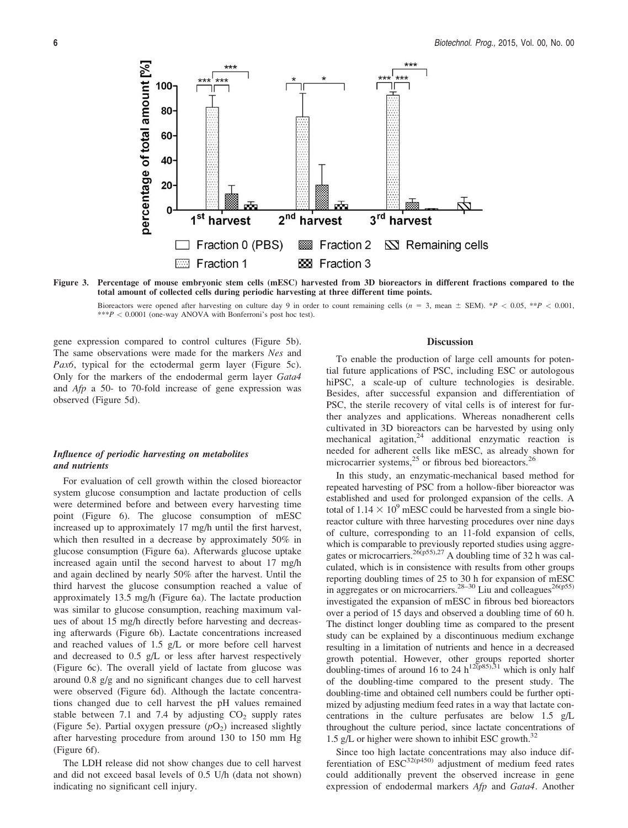percentage of total amount [%] 100 80 60 40  $20<sub>1</sub>$ 0  $2<sup>nd</sup>$ 1<sup>st</sup>  $3<sup>rd</sup>$ harvest harvest harvest  $\Box$  Fraction 0 (PBS) **But** Fraction 2 N Remaining cells **Exercise** Fraction 1 888 Fraction 3

Figure 3. Percentage of mouse embryonic stem cells (mESC) harvested from 3D bioreactors in different fractions compared to the total amount of collected cells during periodic harvesting at three different time points.

Bioreactors were opened after harvesting on culture day 9 in order to count remaining cells ( $n = 3$ , mean  $\pm$  SEM). \*P < 0.05, \*\*P < 0.001,  $***P < 0.0001$  (one-way ANOVA with Bonferroni's post hoc test).

gene expression compared to control cultures (Figure 5b). The same observations were made for the markers Nes and Pax6, typical for the ectodermal germ layer (Figure 5c). Only for the markers of the endodermal germ layer Gata4 and Afp a 50- to 70-fold increase of gene expression was observed (Figure 5d).

### Influence of periodic harvesting on metabolites and nutrients

For evaluation of cell growth within the closed bioreactor system glucose consumption and lactate production of cells were determined before and between every harvesting time point (Figure 6). The glucose consumption of mESC increased up to approximately 17 mg/h until the first harvest, which then resulted in a decrease by approximately 50% in glucose consumption (Figure 6a). Afterwards glucose uptake increased again until the second harvest to about 17 mg/h and again declined by nearly 50% after the harvest. Until the third harvest the glucose consumption reached a value of approximately 13.5 mg/h (Figure 6a). The lactate production was similar to glucose consumption, reaching maximum values of about 15 mg/h directly before harvesting and decreasing afterwards (Figure 6b). Lactate concentrations increased and reached values of 1.5 g/L or more before cell harvest and decreased to 0.5 g/L or less after harvest respectively (Figure 6c). The overall yield of lactate from glucose was around 0.8 g/g and no significant changes due to cell harvest were observed (Figure 6d). Although the lactate concentrations changed due to cell harvest the pH values remained stable between 7.1 and 7.4 by adjusting  $CO<sub>2</sub>$  supply rates (Figure 5e). Partial oxygen pressure  $(pO<sub>2</sub>)$  increased slightly after harvesting procedure from around 130 to 150 mm Hg (Figure 6f).

The LDH release did not show changes due to cell harvest and did not exceed basal levels of 0.5 U/h (data not shown) indicating no significant cell injury.

#### **Discussion**

To enable the production of large cell amounts for potential future applications of PSC, including ESC or autologous hiPSC, a scale-up of culture technologies is desirable. Besides, after successful expansion and differentiation of PSC, the sterile recovery of vital cells is of interest for further analyzes and applications. Whereas nonadherent cells cultivated in 3D bioreactors can be harvested by using only mechanical agitation, $24$  additional enzymatic reaction is needed for adherent cells like mESC, as already shown for microcarrier systems, $^{25}$  or fibrous bed bioreactors.<sup>26</sup>

In this study, an enzymatic-mechanical based method for repeated harvesting of PSC from a hollow-fiber bioreactor was established and used for prolonged expansion of the cells. A total of  $1.14 \times 10^9$  mESC could be harvested from a single bioreactor culture with three harvesting procedures over nine days of culture, corresponding to an 11-fold expansion of cells, which is comparable to previously reported studies using aggregates or microcarriers.<sup>26(p55),27</sup> A doubling time of 32 h was calculated, which is in consistence with results from other groups reporting doubling times of 25 to 30 h for expansion of mESC in aggregates or on microcarriers.<sup>28–30</sup> Liu and colleagues<sup>26(p55)</sup> investigated the expansion of mESC in fibrous bed bioreactors over a period of 15 days and observed a doubling time of 60 h. The distinct longer doubling time as compared to the present study can be explained by a discontinuous medium exchange resulting in a limitation of nutrients and hence in a decreased growth potential. However, other groups reported shorter doubling-times of around 16 to 24 h<sup>12(p85),31</sup> which is only half of the doubling-time compared to the present study. The doubling-time and obtained cell numbers could be further optimized by adjusting medium feed rates in a way that lactate concentrations in the culture perfusates are below 1.5 g/L throughout the culture period, since lactate concentrations of 1.5 g/L or higher were shown to inhibit ESC growth. $32$ 

Since too high lactate concentrations may also induce differentiation of  $ESC^{32(p450)}$  adjustment of medium feed rates could additionally prevent the observed increase in gene expression of endodermal markers Afp and Gata4. Another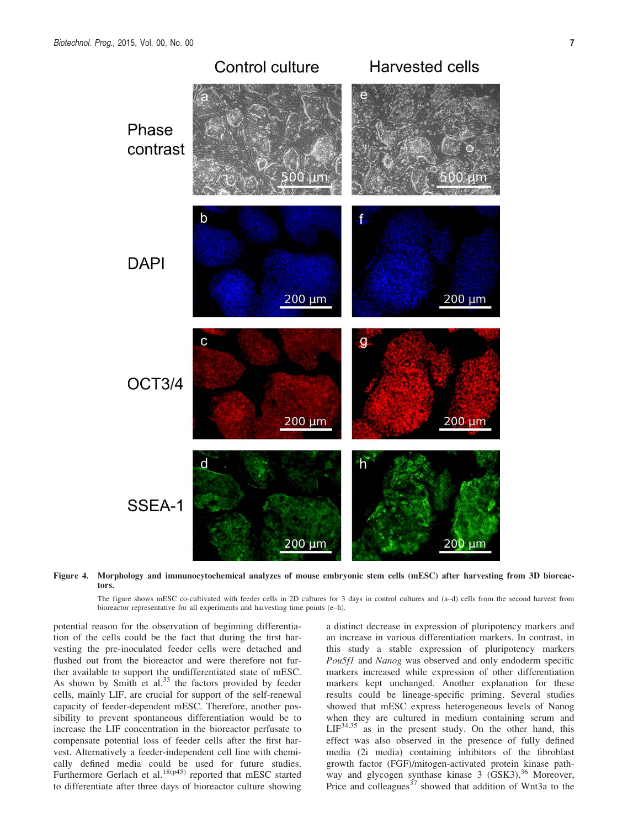

Figure 4. Morphology and immunocytochemical analyzes of mouse embryonic stem cells (mESC) after harvesting from 3D bioreactors.

The figure shows mESC co-cultivated with feeder cells in 2D cultures for 3 days in control cultures and (a–d) cells from the second harvest from bioreactor representative for all experiments and harvesting time points (e–h).

potential reason for the observation of beginning differentiation of the cells could be the fact that during the first harvesting the pre-inoculated feeder cells were detached and flushed out from the bioreactor and were therefore not further available to support the undifferentiated state of mESC. As shown by Smith et  $al.^{33}$  the factors provided by feeder cells, mainly LIF, are crucial for support of the self-renewal capacity of feeder-dependent mESC. Therefore, another possibility to prevent spontaneous differentiation would be to increase the LIF concentration in the bioreactor perfusate to compensate potential loss of feeder cells after the first harvest. Alternatively a feeder-independent cell line with chemically defined media could be used for future studies. Furthermore Gerlach et al.<sup>18(p45)</sup> reported that mESC started to differentiate after three days of bioreactor culture showing a distinct decrease in expression of pluripotency markers and an increase in various differentiation markers. In contrast, in this study a stable expression of pluripotency markers Pou5f1 and Nanog was observed and only endoderm specific markers increased while expression of other differentiation markers kept unchanged. Another explanation for these results could be lineage-specific priming. Several studies showed that mESC express heterogeneous levels of Nanog when they are cultured in medium containing serum and  $LIF<sup>34,35</sup>$  as in the present study. On the other hand, this effect was also observed in the presence of fully defined media (2i media) containing inhibitors of the fibroblast growth factor (FGF)/mitogen-activated protein kinase pathway and glycogen synthase kinase 3 (GSK3).<sup>36</sup> Moreover, Price and colleagues<sup>37</sup> showed that addition of Wnt3a to the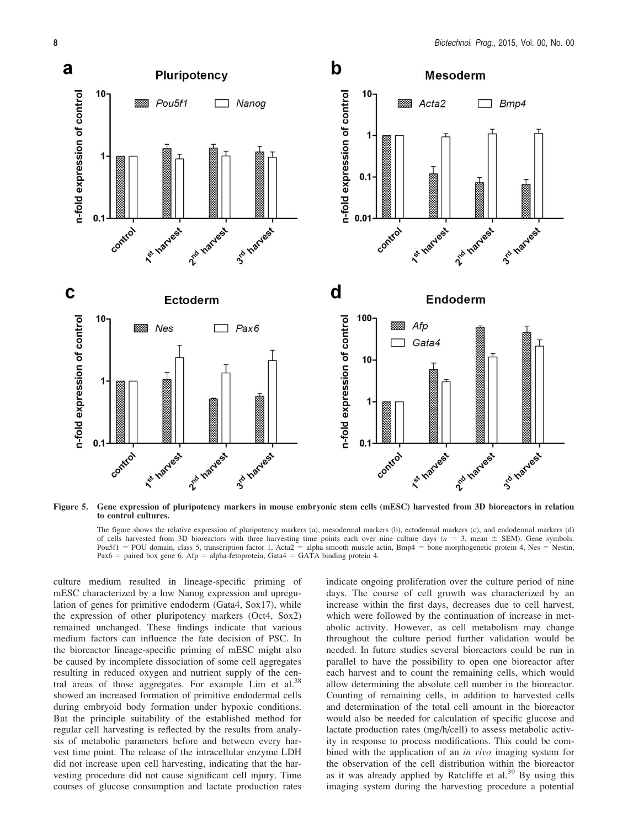![](_page_7_Figure_1.jpeg)

Figure 5. Gene expression of pluripotency markers in mouse embryonic stem cells (mESC) harvested from 3D bioreactors in relation to control cultures.

The figure shows the relative expression of pluripotency markers (a), mesodermal markers (b), ectodermal markers (c), and endodermal markers (d) of cells harvested from 3D bioreactors with three harvesting time points each over nine culture days ( $n = 3$ , mean  $\pm$  SEM). Gene symbols: Pou5f1 = POU domain, class 5, transcription factor 1, Acta2 = alpha smooth muscle actin, Bmp4 = bone morphogenetic protein 4, Nes = Nestin, Pax6 = paired box gene 6, Afp = alpha-fetoprotein, Gata4 = GATA binding protein 4.

culture medium resulted in lineage-specific priming of mESC characterized by a low Nanog expression and upregulation of genes for primitive endoderm (Gata4, Sox17), while the expression of other pluripotency markers (Oct4, Sox2) remained unchanged. These findings indicate that various medium factors can influence the fate decision of PSC. In the bioreactor lineage-specific priming of mESC might also be caused by incomplete dissociation of some cell aggregates resulting in reduced oxygen and nutrient supply of the central areas of those aggregates. For example Lim et al.<sup>38</sup> showed an increased formation of primitive endodermal cells during embryoid body formation under hypoxic conditions. But the principle suitability of the established method for regular cell harvesting is reflected by the results from analysis of metabolic parameters before and between every harvest time point. The release of the intracellular enzyme LDH did not increase upon cell harvesting, indicating that the harvesting procedure did not cause significant cell injury. Time courses of glucose consumption and lactate production rates indicate ongoing proliferation over the culture period of nine days. The course of cell growth was characterized by an increase within the first days, decreases due to cell harvest, which were followed by the continuation of increase in metabolic activity. However, as cell metabolism may change throughout the culture period further validation would be needed. In future studies several bioreactors could be run in parallel to have the possibility to open one bioreactor after each harvest and to count the remaining cells, which would allow determining the absolute cell number in the bioreactor. Counting of remaining cells, in addition to harvested cells and determination of the total cell amount in the bioreactor would also be needed for calculation of specific glucose and lactate production rates (mg/h/cell) to assess metabolic activity in response to process modifications. This could be combined with the application of an *in vivo* imaging system for the observation of the cell distribution within the bioreactor as it was already applied by Ratcliffe et al.<sup>39</sup> By using this imaging system during the harvesting procedure a potential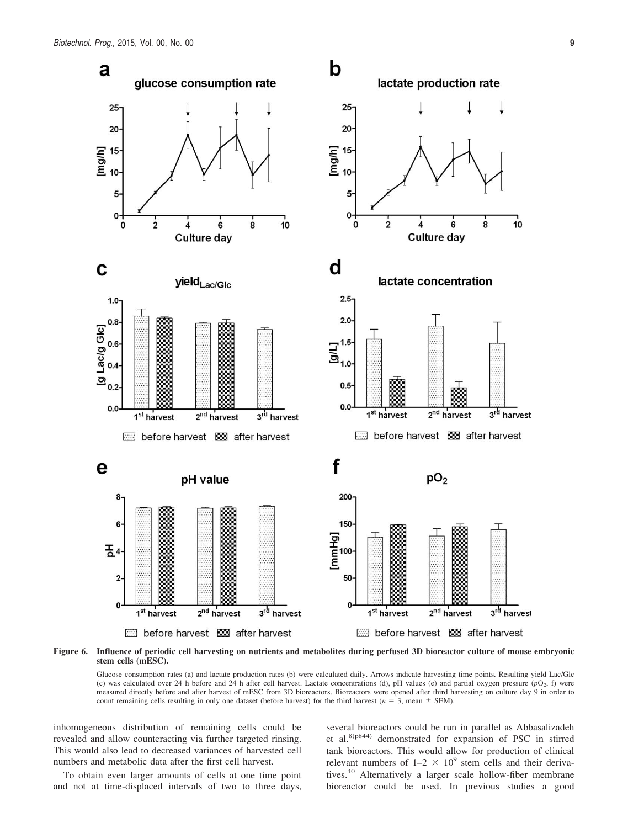![](_page_8_Figure_1.jpeg)

Figure 6. Influence of periodic cell harvesting on nutrients and metabolites during perfused 3D bioreactor culture of mouse embryonic stem cells (mESC).

Glucose consumption rates (a) and lactate production rates (b) were calculated daily. Arrows indicate harvesting time points. Resulting yield Lac/Glc (c) was calculated over 24 h before and 24 h after cell harvest. Lactate concentrations (d), pH values (e) and partial oxygen pressure  $(pO<sub>2</sub>, f)$  were measured directly before and after harvest of mESC from 3D bioreactors. Bioreactors were opened after third harvesting on culture day 9 in order to count remaining cells resulting in only one dataset (before harvest) for the third harvest ( $n = 3$ , mean  $\pm$  SEM).

inhomogeneous distribution of remaining cells could be revealed and allow counteracting via further targeted rinsing. This would also lead to decreased variances of harvested cell numbers and metabolic data after the first cell harvest.

To obtain even larger amounts of cells at one time point and not at time-displaced intervals of two to three days, several bioreactors could be run in parallel as Abbasalizadeh et al.8(p844) demonstrated for expansion of PSC in stirred tank bioreactors. This would allow for production of clinical relevant numbers of  $1-2 \times 10^9$  stem cells and their derivatives.<sup>40</sup> Alternatively a larger scale hollow-fiber membrane bioreactor could be used. In previous studies a good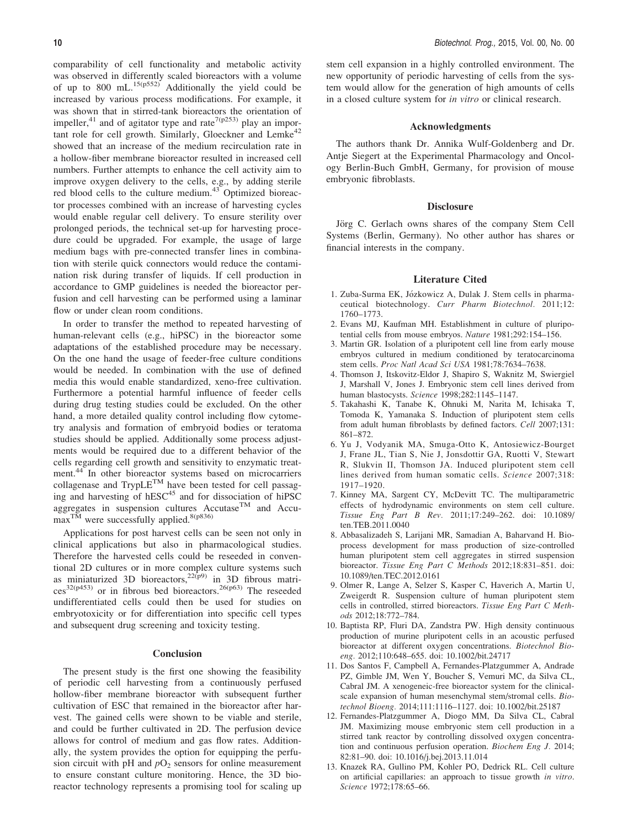comparability of cell functionality and metabolic activity was observed in differently scaled bioreactors with a volume of up to 800 mL. $15(p552)$  Additionally the yield could be increased by various process modifications. For example, it was shown that in stirred-tank bioreactors the orientation of impeller,<sup>41</sup> and of agitator type and rate<sup>7(p253)</sup> play an important role for cell growth. Similarly, Gloeckner and Lemke<sup>42</sup> showed that an increase of the medium recirculation rate in a hollow-fiber membrane bioreactor resulted in increased cell numbers. Further attempts to enhance the cell activity aim to improve oxygen delivery to the cells, e.g., by adding sterile red blood cells to the culture medium. $43$  Optimized bioreactor processes combined with an increase of harvesting cycles would enable regular cell delivery. To ensure sterility over prolonged periods, the technical set-up for harvesting procedure could be upgraded. For example, the usage of large medium bags with pre-connected transfer lines in combination with sterile quick connectors would reduce the contamination risk during transfer of liquids. If cell production in accordance to GMP guidelines is needed the bioreactor perfusion and cell harvesting can be performed using a laminar flow or under clean room conditions.

In order to transfer the method to repeated harvesting of human-relevant cells (e.g., hiPSC) in the bioreactor some adaptations of the established procedure may be necessary. On the one hand the usage of feeder-free culture conditions would be needed. In combination with the use of defined media this would enable standardized, xeno-free cultivation. Furthermore a potential harmful influence of feeder cells during drug testing studies could be excluded. On the other hand, a more detailed quality control including flow cytometry analysis and formation of embryoid bodies or teratoma studies should be applied. Additionally some process adjustments would be required due to a different behavior of the cells regarding cell growth and sensitivity to enzymatic treatment.<sup>44</sup> In other bioreactor systems based on microcarriers collagenase and  $TrypLE^{TM}$  have been tested for cell passaging and harvesting of  $hESC<sup>45</sup>$  and for dissociation of  $hIPSC$ aggregates in suspension cultures Accutase<sup>TM</sup> and Accu- $\max<sup>TM</sup>$  were successfully applied.<sup>8(p836)</sup>

Applications for post harvest cells can be seen not only in clinical applications but also in pharmacological studies. Therefore the harvested cells could be reseeded in conventional 2D cultures or in more complex culture systems such as miniaturized 3D bioreactors,  $22(p9)$  in 3D fibrous matri- $\cos^{32(p453)}$  or in fibrous bed bioreactors.<sup>26(p63)</sup> The reseeded undifferentiated cells could then be used for studies on embryotoxicity or for differentiation into specific cell types and subsequent drug screening and toxicity testing.

#### **Conclusion**

The present study is the first one showing the feasibility of periodic cell harvesting from a continuously perfused hollow-fiber membrane bioreactor with subsequent further cultivation of ESC that remained in the bioreactor after harvest. The gained cells were shown to be viable and sterile, and could be further cultivated in 2D. The perfusion device allows for control of medium and gas flow rates. Additionally, the system provides the option for equipping the perfusion circuit with pH and  $pO<sub>2</sub>$  sensors for online measurement to ensure constant culture monitoring. Hence, the 3D bioreactor technology represents a promising tool for scaling up stem cell expansion in a highly controlled environment. The new opportunity of periodic harvesting of cells from the system would allow for the generation of high amounts of cells in a closed culture system for in vitro or clinical research.

#### Acknowledgments

The authors thank Dr. Annika Wulf-Goldenberg and Dr. Antje Siegert at the Experimental Pharmacology and Oncology Berlin-Buch GmbH, Germany, for provision of mouse embryonic fibroblasts.

#### **Disclosure**

Jörg C. Gerlach owns shares of the company Stem Cell Systems (Berlin, Germany). No other author has shares or financial interests in the company.

#### Literature Cited

- 1. Zuba-Surma EK, Józkowicz A, Dulak J. Stem cells in pharmaceutical biotechnology. Curr Pharm Biotechnol. 2011;12: 1760–1773.
- 2. Evans MJ, Kaufman MH. Establishment in culture of pluripotential cells from mouse embryos. Nature 1981;292:154–156.
- 3. Martin GR. Isolation of a pluripotent cell line from early mouse embryos cultured in medium conditioned by teratocarcinoma stem cells. Proc Natl Acad Sci USA 1981;78:7634–7638.
- 4. Thomson J, Itskovitz-Eldor J, Shapiro S, Waknitz M, Swiergiel J, Marshall V, Jones J. Embryonic stem cell lines derived from human blastocysts. Science 1998;282:1145–1147.
- 5. Takahashi K, Tanabe K, Ohnuki M, Narita M, Ichisaka T, Tomoda K, Yamanaka S. Induction of pluripotent stem cells from adult human fibroblasts by defined factors. Cell 2007;131: 861–872.
- 6. Yu J, Vodyanik MA, Smuga-Otto K, Antosiewicz-Bourget J, Frane JL, Tian S, Nie J, Jonsdottir GA, Ruotti V, Stewart R, Slukvin II, Thomson JA. Induced pluripotent stem cell lines derived from human somatic cells. Science 2007;318: 1917–1920.
- 7. Kinney MA, Sargent CY, McDevitt TC. The multiparametric effects of hydrodynamic environments on stem cell culture. Tissue Eng Part B Rev. 2011;17:249–262. doi: [10.1089/](info:doi/10.1089/ten.TEB.2011.0040) [ten.TEB.2011.0040](info:doi/10.1089/ten.TEB.2011.0040)
- 8. Abbasalizadeh S, Larijani MR, Samadian A, Baharvand H. Bioprocess development for mass production of size-controlled human pluripotent stem cell aggregates in stirred suspension bioreactor. Tissue Eng Part C Methods 2012;18:831–851. doi: [10.1089/ten.TEC.2012.0161](info:doi/10.1089/ten.TEC.2012.0161)
- 9. Olmer R, Lange A, Selzer S, Kasper C, Haverich A, Martin U, Zweigerdt R. Suspension culture of human pluripotent stem cells in controlled, stirred bioreactors. Tissue Eng Part C Methods 2012;18:772–784.
- 10. Baptista RP, Fluri DA, Zandstra PW. High density continuous production of murine pluripotent cells in an acoustic perfused bioreactor at different oxygen concentrations. Biotechnol Bioeng. 2012;110:648–655. doi: [10.1002/bit.24717](info:doi/10.1002/bit.24717)
- 11. Dos Santos F, Campbell A, Fernandes-Platzgummer A, Andrade PZ, Gimble JM, Wen Y, Boucher S, Vemuri MC, da Silva CL, Cabral JM. A xenogeneic-free bioreactor system for the clinicalscale expansion of human mesenchymal stem/stromal cells. Biotechnol Bioeng. 2014;111:1116–1127. doi: [10.1002/bit.25187](info:doi/10.1002/bit.25187)
- 12. Fernandes-Platzgummer A, Diogo MM, Da Silva CL, Cabral JM. Maximizing mouse embryonic stem cell production in a stirred tank reactor by controlling dissolved oxygen concentration and continuous perfusion operation. Biochem Eng J. 2014; 82:81–90. doi: [10.1016/j.bej.2013.11.014](info:doi/10.1016/j.bej.2013.11.014)
- 13. Knazek RA, Gullino PM, Kohler PO, Dedrick RL. Cell culture on artificial capillaries: an approach to tissue growth in vitro. Science 1972;178:65–66.